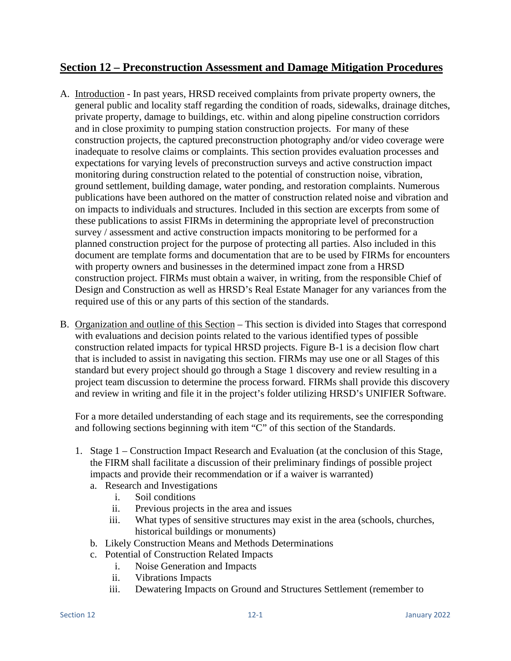# **Section 12 – Preconstruction Assessment and Damage Mitigation Procedures**

- A. Introduction In past years, HRSD received complaints from private property owners, the general public and locality staff regarding the condition of roads, sidewalks, drainage ditches, private property, damage to buildings, etc. within and along pipeline construction corridors and in close proximity to pumping station construction projects. For many of these construction projects, the captured preconstruction photography and/or video coverage were inadequate to resolve claims or complaints. This section provides evaluation processes and expectations for varying levels of preconstruction surveys and active construction impact monitoring during construction related to the potential of construction noise, vibration, ground settlement, building damage, water ponding, and restoration complaints. Numerous publications have been authored on the matter of construction related noise and vibration and on impacts to individuals and structures. Included in this section are excerpts from some of these publications to assist FIRMs in determining the appropriate level of preconstruction survey / assessment and active construction impacts monitoring to be performed for a planned construction project for the purpose of protecting all parties. Also included in this document are template forms and documentation that are to be used by FIRMs for encounters with property owners and businesses in the determined impact zone from a HRSD construction project. FIRMs must obtain a waiver, in writing, from the responsible Chief of Design and Construction as well as HRSD's Real Estate Manager for any variances from the required use of this or any parts of this section of the standards.
- B. Organization and outline of this Section This section is divided into Stages that correspond with evaluations and decision points related to the various identified types of possible construction related impacts for typical HRSD projects. Figure B-1 is a decision flow chart that is included to assist in navigating this section. FIRMs may use one or all Stages of this standard but every project should go through a Stage 1 discovery and review resulting in a project team discussion to determine the process forward. FIRMs shall provide this discovery and review in writing and file it in the project's folder utilizing HRSD's UNIFIER Software.

For a more detailed understanding of each stage and its requirements, see the corresponding and following sections beginning with item "C" of this section of the Standards.

- 1. Stage 1 Construction Impact Research and Evaluation (at the conclusion of this Stage, the FIRM shall facilitate a discussion of their preliminary findings of possible project impacts and provide their recommendation or if a waiver is warranted)
	- a. Research and Investigations
		- i. Soil conditions
		- ii. Previous projects in the area and issues
		- iii. What types of sensitive structures may exist in the area (schools, churches, historical buildings or monuments)
	- b. Likely Construction Means and Methods Determinations
	- c. Potential of Construction Related Impacts
		- i. Noise Generation and Impacts
		- ii. Vibrations Impacts
		- iii. Dewatering Impacts on Ground and Structures Settlement (remember to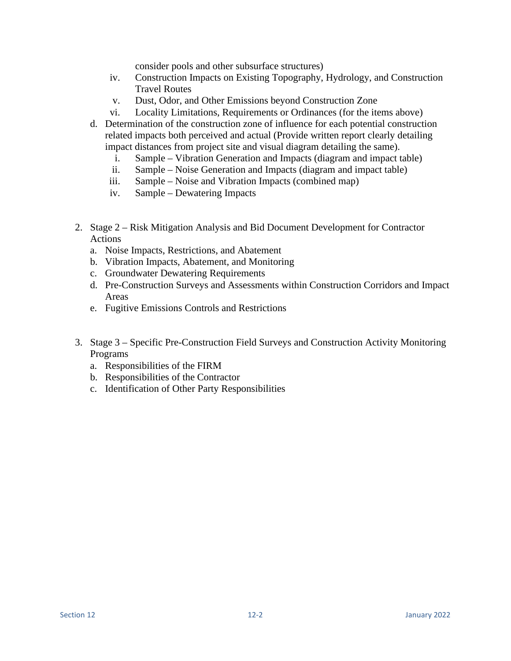consider pools and other subsurface structures)

- iv. Construction Impacts on Existing Topography, Hydrology, and Construction Travel Routes
- v. Dust, Odor, and Other Emissions beyond Construction Zone
- vi. Locality Limitations, Requirements or Ordinances (for the items above)
- d. Determination of the construction zone of influence for each potential construction related impacts both perceived and actual (Provide written report clearly detailing impact distances from project site and visual diagram detailing the same).
	- i. Sample Vibration Generation and Impacts (diagram and impact table)
	- ii. Sample Noise Generation and Impacts (diagram and impact table)
	- iii. Sample Noise and Vibration Impacts (combined map)
	- iv. Sample Dewatering Impacts
- 2. Stage 2 Risk Mitigation Analysis and Bid Document Development for Contractor Actions
	- a. Noise Impacts, Restrictions, and Abatement
	- b. Vibration Impacts, Abatement, and Monitoring
	- c. Groundwater Dewatering Requirements
	- d. Pre-Construction Surveys and Assessments within Construction Corridors and Impact Areas
	- e. Fugitive Emissions Controls and Restrictions
- 3. Stage 3 Specific Pre-Construction Field Surveys and Construction Activity Monitoring Programs
	- a. Responsibilities of the FIRM
	- b. Responsibilities of the Contractor
	- c. Identification of Other Party Responsibilities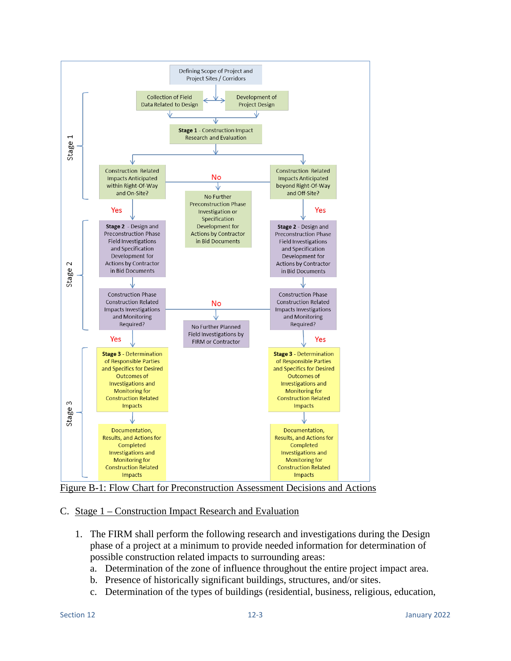

Figure B-1: Flow Chart for Preconstruction Assessment Decisions and Actions

## C. Stage 1 – Construction Impact Research and Evaluation

- 1. The FIRM shall perform the following research and investigations during the Design phase of a project at a minimum to provide needed information for determination of possible construction related impacts to surrounding areas:
	- a. Determination of the zone of influence throughout the entire project impact area.
	- b. Presence of historically significant buildings, structures, and/or sites.
	- c. Determination of the types of buildings (residential, business, religious, education,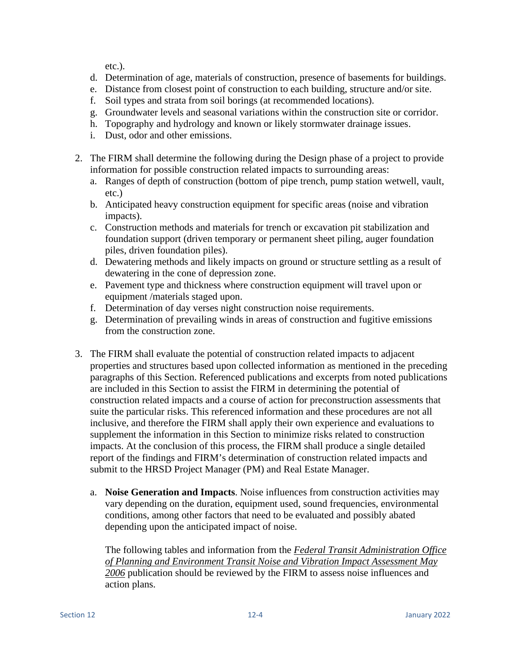etc.).

- d. Determination of age, materials of construction, presence of basements for buildings.
- e. Distance from closest point of construction to each building, structure and/or site.
- f. Soil types and strata from soil borings (at recommended locations).
- g. Groundwater levels and seasonal variations within the construction site or corridor.
- h. Topography and hydrology and known or likely stormwater drainage issues.
- i. Dust, odor and other emissions.
- 2. The FIRM shall determine the following during the Design phase of a project to provide information for possible construction related impacts to surrounding areas:
	- a. Ranges of depth of construction (bottom of pipe trench, pump station wetwell, vault, etc.)
	- b. Anticipated heavy construction equipment for specific areas (noise and vibration impacts).
	- c. Construction methods and materials for trench or excavation pit stabilization and foundation support (driven temporary or permanent sheet piling, auger foundation piles, driven foundation piles).
	- d. Dewatering methods and likely impacts on ground or structure settling as a result of dewatering in the cone of depression zone.
	- e. Pavement type and thickness where construction equipment will travel upon or equipment /materials staged upon.
	- f. Determination of day verses night construction noise requirements.
	- g. Determination of prevailing winds in areas of construction and fugitive emissions from the construction zone.
- 3. The FIRM shall evaluate the potential of construction related impacts to adjacent properties and structures based upon collected information as mentioned in the preceding paragraphs of this Section. Referenced publications and excerpts from noted publications are included in this Section to assist the FIRM in determining the potential of construction related impacts and a course of action for preconstruction assessments that suite the particular risks. This referenced information and these procedures are not all inclusive, and therefore the FIRM shall apply their own experience and evaluations to supplement the information in this Section to minimize risks related to construction impacts. At the conclusion of this process, the FIRM shall produce a single detailed report of the findings and FIRM's determination of construction related impacts and submit to the HRSD Project Manager (PM) and Real Estate Manager.
	- a. **Noise Generation and Impacts**. Noise influences from construction activities may vary depending on the duration, equipment used, sound frequencies, environmental conditions, among other factors that need to be evaluated and possibly abated depending upon the anticipated impact of noise.

The following tables and information from the *Federal Transit Administration Office of Planning and Environment Transit Noise and Vibration Impact Assessment May 2006* publication should be reviewed by the FIRM to assess noise influences and action plans.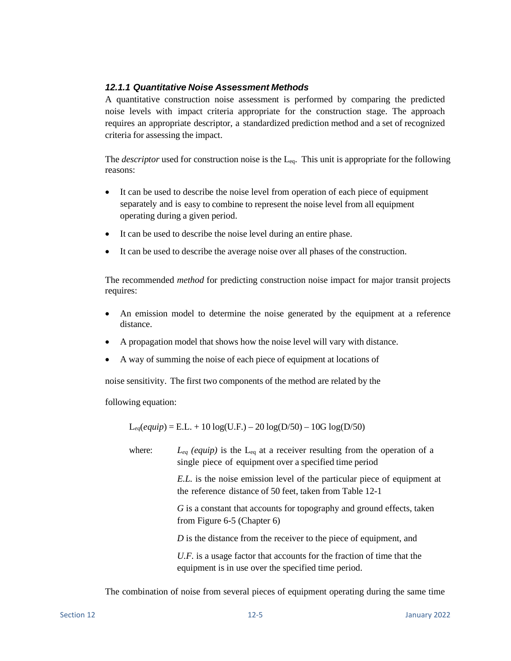## *12.1.1 Quantitative Noise Assessment Methods*

A quantitative construction noise assessment is performed by comparing the predicted noise levels with impact criteria appropriate for the construction stage. The approach requires an appropriate descriptor, a standardized prediction method and a set of recognized criteria for assessing the impact.

The *descriptor* used for construction noise is the  $L_{eq}$ . This unit is appropriate for the following reasons:

- It can be used to describe the noise level from operation of each piece of equipment separately and is easy to combine to represent the noise level from all equipment operating during a given period.
- It can be used to describe the noise level during an entire phase.
- It can be used to describe the average noise over all phases of the construction.

The recommended *method* for predicting construction noise impact for major transit projects requires:

- An emission model to determine the noise generated by the equipment at a reference distance.
- A propagation model that shows how the noise level will vary with distance.
- A way of summing the noise of each piece of equipment at locations of

noise sensitivity. The first two components of the method are related by the

following equation:

 $L_{eq}(equiv) = E.L. + 10 log(U.F.) - 20 log(D/50) - 10G log(D/50)$ 

where:  $L_{eq}$  (equip) is the  $L_{eq}$  at a receiver resulting from the operation of a single piece of equipment over a specified time period

> *E.L.* is the noise emission level of the particular piece of equipment at the reference distance of 50 feet, taken from Table 12-1

*G* is a constant that accounts for topography and ground effects, taken from Figure 6-5 (Chapter 6)

*D* is the distance from the receiver to the piece of equipment, and

*U.F.* is a usage factor that accounts for the fraction of time that the equipment is in use over the specified time period.

The combination of noise from several pieces of equipment operating during the same time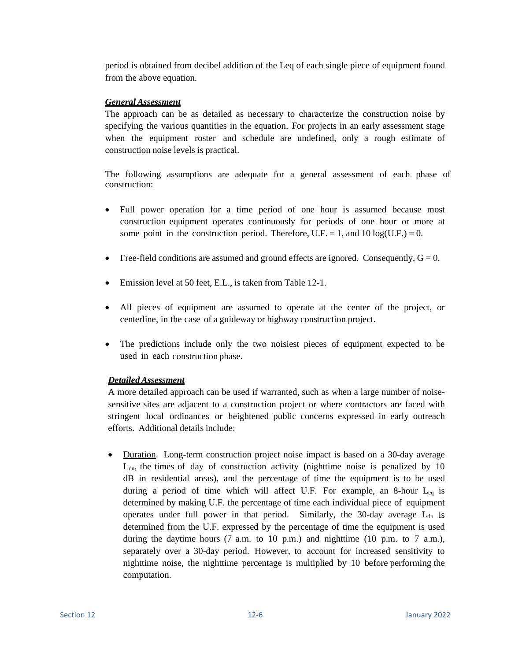period is obtained from decibel addition of the Leq of each single piece of equipment found from the above equation.

### *General Assessment*

The approach can be as detailed as necessary to characterize the construction noise by specifying the various quantities in the equation. For projects in an early assessment stage when the equipment roster and schedule are undefined, only a rough estimate of construction noise levels is practical.

The following assumptions are adequate for a general assessment of each phase of construction:

- Full power operation for a time period of one hour is assumed because most construction equipment operates continuously for periods of one hour or more at some point in the construction period. Therefore, U.F. = 1, and 10 log(U.F.) = 0.
- Free-field conditions are assumed and ground effects are ignored. Consequently,  $G = 0$ .
- Emission level at 50 feet, E.L., is taken from Table 12-1.
- All pieces of equipment are assumed to operate at the center of the project, or centerline, in the case of a guideway or highway construction project.
- The predictions include only the two noisiest pieces of equipment expected to be used in each construction phase.

## *DetailedAssessment*

A more detailed approach can be used if warranted, such as when a large number of noisesensitive sites are adjacent to a construction project or where contractors are faced with stringent local ordinances or heightened public concerns expressed in early outreach efforts. Additional details include:

• Duration. Long-term construction project noise impact is based on a 30-day average  $L<sub>dn</sub>$ , the times of day of construction activity (nighttime noise is penalized by 10 dB in residential areas), and the percentage of time the equipment is to be used during a period of time which will affect U.F. For example, an 8-hour  $L_{eq}$  is determined by making U.F. the percentage of time each individual piece of equipment operates under full power in that period. Similarly, the 30-day average  $L_{dn}$  is determined from the U.F. expressed by the percentage of time the equipment is used during the daytime hours  $(7 \text{ a.m. to } 10 \text{ p.m.})$  and nighttime  $(10 \text{ p.m. to } 7 \text{ a.m.})$ , separately over a 30-day period. However, to account for increased sensitivity to nighttime noise, the nighttime percentage is multiplied by 10 before performing the computation.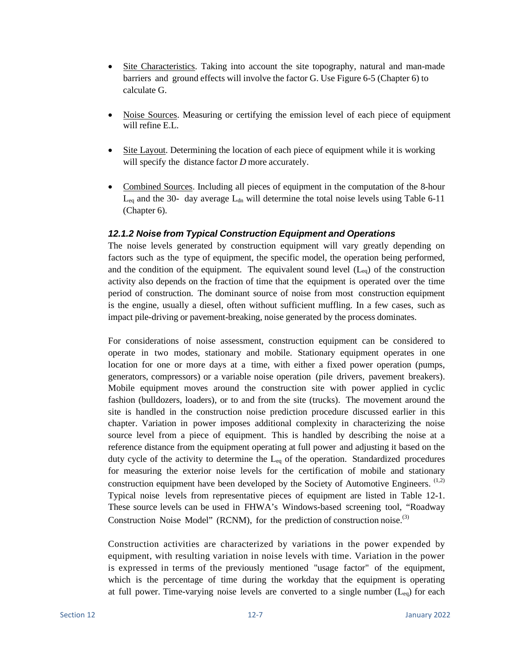- Site Characteristics. Taking into account the site topography, natural and man-made barriers and ground effects will involve the factor G. Use Figure 6-5 (Chapter 6) to calculate G.
- Noise Sources. Measuring or certifying the emission level of each piece of equipment will refine E.L.
- Site Layout. Determining the location of each piece of equipment while it is working will specify the distance factor *D* more accurately.
- Combined Sources. Including all pieces of equipment in the computation of the 8-hour  $L_{eq}$  and the 30- day average  $L_{dn}$  will determine the total noise levels using Table 6-11 (Chapter 6).

### *12.1.2 Noise from Typical Construction Equipment and Operations*

The noise levels generated by construction equipment will vary greatly depending on factors such as the type of equipment, the specific model, the operation being performed, and the condition of the equipment. The equivalent sound level  $(L_{eq})$  of the construction activity also depends on the fraction of time that the equipment is operated over the time period of construction. The dominant source of noise from most construction equipment is the engine, usually a diesel, often without sufficient muffling. In a few cases, such as impact pile-driving or pavement-breaking, noise generated by the process dominates.

For considerations of noise assessment, construction equipment can be considered to operate in two modes, stationary and mobile. Stationary equipment operates in one location for one or more days at a time, with either a fixed power operation (pumps, generators, compressors) or a variable noise operation (pile drivers, pavement breakers). Mobile equipment moves around the construction site with power applied in cyclic fashion (bulldozers, loaders), or to and from the site (trucks). The movement around the site is handled in the construction noise prediction procedure discussed earlier in this chapter. Variation in power imposes additional complexity in characterizing the noise source level from a piece of equipment. This is handled by describing the noise at a reference distance from the equipment operating at full power and adjusting it based on the duty cycle of the activity to determine the  $L_{eq}$  of the operation. Standardized procedures for measuring the exterior noise levels for the certification of mobile and stationary construction equipment have been developed by the Society of Automotive Engineers.  $(1,2)$ Typical noise levels from representative pieces of equipment are listed in Table 12-1. These source levels can be used in FHWA's Windows-based screening tool, "Roadway Construction Noise Model" (RCNM), for the prediction of construction noise.<sup>(3)</sup>

Construction activities are characterized by variations in the power expended by equipment, with resulting variation in noise levels with time. Variation in the power is expressed in terms of the previously mentioned "usage factor" of the equipment, which is the percentage of time during the workday that the equipment is operating at full power. Time-varying noise levels are converted to a single number  $(L_{eq})$  for each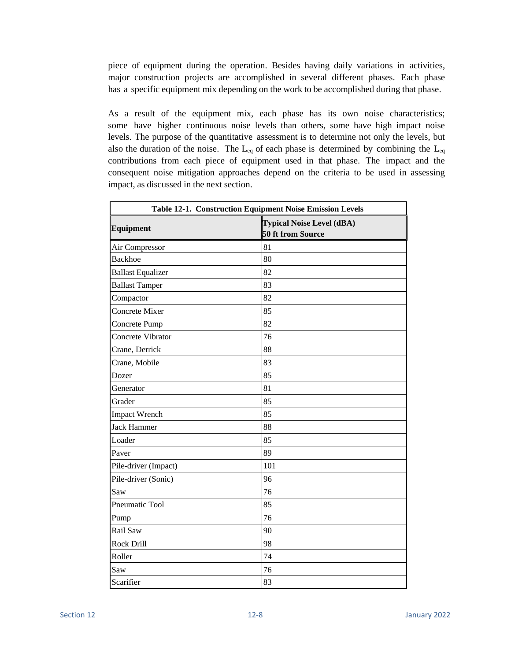piece of equipment during the operation. Besides having daily variations in activities, major construction projects are accomplished in several different phases. Each phase has a specific equipment mix depending on the work to be accomplished during that phase.

As a result of the equipment mix, each phase has its own noise characteristics; some have higher continuous noise levels than others, some have high impact noise levels. The purpose of the quantitative assessment is to determine not only the levels, but also the duration of the noise. The  $L_{eq}$  of each phase is determined by combining the  $L_{eq}$ contributions from each piece of equipment used in that phase. The impact and the consequent noise mitigation approaches depend on the criteria to be used in assessing impact, as discussed in the next section.

|                          | Table 12-1. Construction Equipment Noise Emission Levels |  |  |  |
|--------------------------|----------------------------------------------------------|--|--|--|
| Equipment                | <b>Typical Noise Level (dBA)</b><br>50 ft from Source    |  |  |  |
| Air Compressor           | 81                                                       |  |  |  |
| <b>Backhoe</b>           | 80                                                       |  |  |  |
| <b>Ballast Equalizer</b> | 82                                                       |  |  |  |
| <b>Ballast Tamper</b>    | 83                                                       |  |  |  |
| Compactor                | 82                                                       |  |  |  |
| Concrete Mixer           | 85                                                       |  |  |  |
| Concrete Pump            | 82                                                       |  |  |  |
| Concrete Vibrator        | 76                                                       |  |  |  |
| Crane, Derrick           | 88                                                       |  |  |  |
| Crane, Mobile            | 83                                                       |  |  |  |
| Dozer                    | 85                                                       |  |  |  |
| Generator                | 81                                                       |  |  |  |
| Grader                   | 85                                                       |  |  |  |
| <b>Impact Wrench</b>     | 85                                                       |  |  |  |
| <b>Jack Hammer</b>       | 88                                                       |  |  |  |
| Loader                   | 85                                                       |  |  |  |
| Paver                    | 89                                                       |  |  |  |
| Pile-driver (Impact)     | 101                                                      |  |  |  |
| Pile-driver (Sonic)      | 96                                                       |  |  |  |
| Saw                      | 76                                                       |  |  |  |
| Pneumatic Tool           | 85                                                       |  |  |  |
| Pump                     | 76                                                       |  |  |  |
| Rail Saw                 | 90                                                       |  |  |  |
| Rock Drill               | 98                                                       |  |  |  |
| Roller                   | 74                                                       |  |  |  |
| Saw                      | 76                                                       |  |  |  |
| Scarifier                | 83                                                       |  |  |  |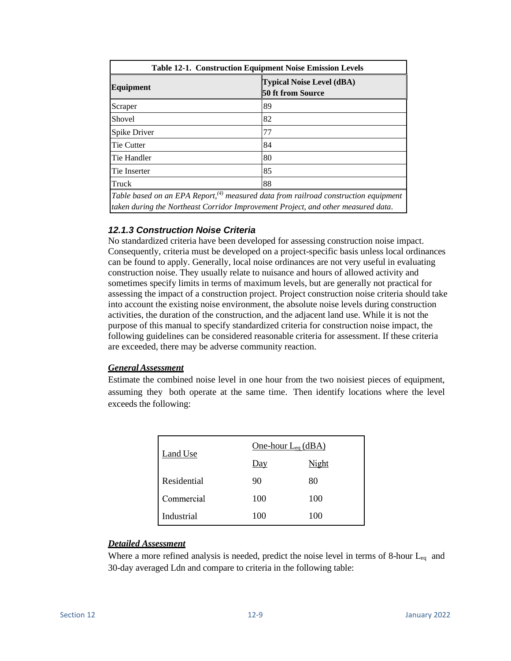| <b>Table 12-1. Construction Equipment Noise Emission Levels</b> |                                                                                        |  |  |  |
|-----------------------------------------------------------------|----------------------------------------------------------------------------------------|--|--|--|
| <b>Equipment</b>                                                | <b>Typical Noise Level (dBA)</b><br><b>50 ft from Source</b>                           |  |  |  |
| Scraper                                                         | 89                                                                                     |  |  |  |
| Shovel                                                          | 82                                                                                     |  |  |  |
| Spike Driver                                                    | 77                                                                                     |  |  |  |
| <b>Tie Cutter</b>                                               | 84                                                                                     |  |  |  |
| Tie Handler                                                     | 80                                                                                     |  |  |  |
| Tie Inserter                                                    | 85                                                                                     |  |  |  |
| Truck                                                           | 88                                                                                     |  |  |  |
|                                                                 | Table based on an EPA Report, $(4)$ measured data from railroad construction equipment |  |  |  |

*taken during the Northeast Corridor Improvement Project, and other measured data*.

## *12.1.3 Construction Noise Criteria*

No standardized criteria have been developed for assessing construction noise impact. Consequently, criteria must be developed on a project-specific basis unless local ordinances can be found to apply. Generally, local noise ordinances are not very useful in evaluating construction noise. They usually relate to nuisance and hours of allowed activity and sometimes specify limits in terms of maximum levels, but are generally not practical for assessing the impact of a construction project. Project construction noise criteria should take into account the existing noise environment, the absolute noise levels during construction activities, the duration of the construction, and the adjacent land use. While it is not the purpose of this manual to specify standardized criteria for construction noise impact, the following guidelines can be considered reasonable criteria for assessment. If these criteria are exceeded, there may be adverse community reaction.

## *General Assessment*

Estimate the combined noise level in one hour from the two noisiest pieces of equipment, assuming they both operate at the same time. Then identify locations where the level exceeds the following:

| Land Use    | One-hour $L_{eq}$ (dBA) |       |  |  |
|-------------|-------------------------|-------|--|--|
|             | <u>Day</u>              | Night |  |  |
| Residential | 90                      | 80    |  |  |
| Commercial  | 100                     | 100   |  |  |
| Industrial  | 100                     | 100   |  |  |

### *Detailed Assessment*

Where a more refined analysis is needed, predict the noise level in terms of 8-hour  $L_{eq}$  and 30-day averaged Ldn and compare to criteria in the following table: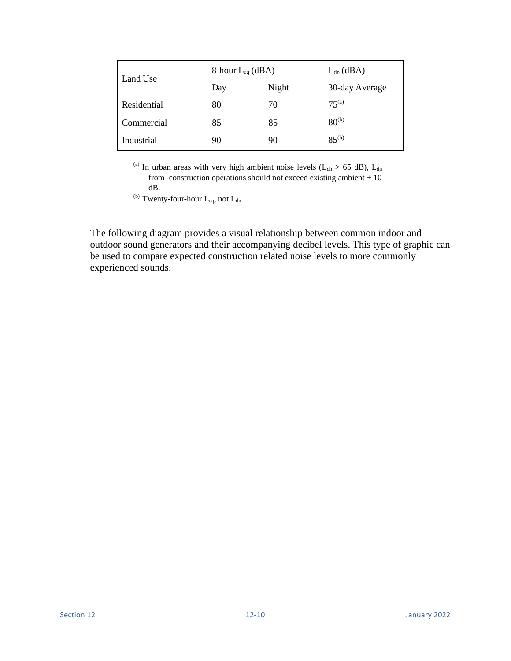|             | 8-hour $L_{eq}$ (dBA) | $L_{dn}$ (dBA) |                |
|-------------|-----------------------|----------------|----------------|
| Land Use    | <u>Day</u>            | <b>Night</b>   | 30-day Average |
| Residential | 80                    | 70             | $75^{(a)}$     |
| Commercial  | 85                    | 85             | $80^{(b)}$     |
| Industrial  | 90                    | 90             | $85^{(b)}$     |

(a) In urban areas with very high ambient noise levels ( $L_{dn} > 65$  dB),  $L_{dn}$ from construction operations should not exceed existing ambient  $+10$ dB.

(b) Twenty-four-hour  $L_{eq}$ , not  $L_{dn}$ .

The following diagram provides a visual relationship between common indoor and outdoor sound generators and their accompanying decibel levels. This type of graphic can be used to compare expected construction related noise levels to more commonly experienced sounds.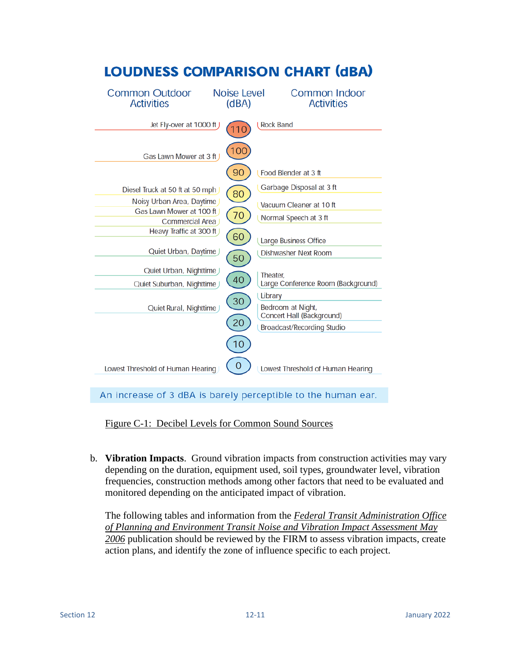

An increase of 3 dBA is barely perceptible to the human ear.

Figure C-1: Decibel Levels for Common Sound Sources

b. **Vibration Impacts**. Ground vibration impacts from construction activities may vary depending on the duration, equipment used, soil types, groundwater level, vibration frequencies, construction methods among other factors that need to be evaluated and monitored depending on the anticipated impact of vibration.

The following tables and information from the *Federal Transit Administration Office of Planning and Environment Transit Noise and Vibration Impact Assessment May 2006* publication should be reviewed by the FIRM to assess vibration impacts, create action plans, and identify the zone of influence specific to each project.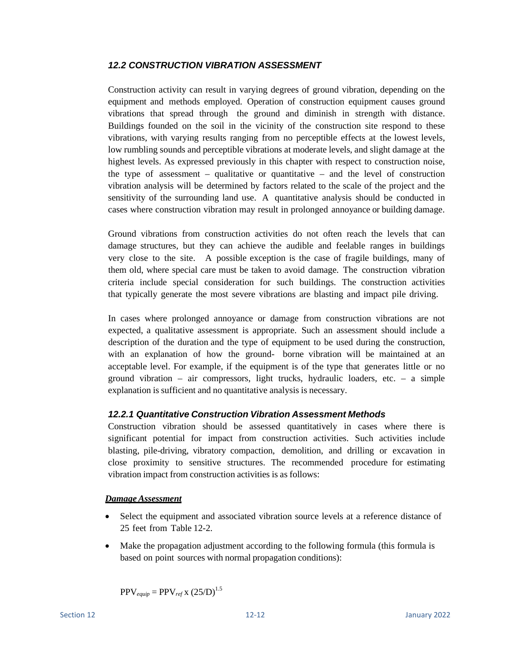### *12.2 CONSTRUCTION VIBRATION ASSESSMENT*

Construction activity can result in varying degrees of ground vibration, depending on the equipment and methods employed. Operation of construction equipment causes ground vibrations that spread through the ground and diminish in strength with distance. Buildings founded on the soil in the vicinity of the construction site respond to these vibrations, with varying results ranging from no perceptible effects at the lowest levels, low rumbling sounds and perceptible vibrations at moderate levels, and slight damage at the highest levels. As expressed previously in this chapter with respect to construction noise, the type of assessment – qualitative or quantitative – and the level of construction vibration analysis will be determined by factors related to the scale of the project and the sensitivity of the surrounding land use. A quantitative analysis should be conducted in cases where construction vibration may result in prolonged annoyance or building damage.

Ground vibrations from construction activities do not often reach the levels that can damage structures, but they can achieve the audible and feelable ranges in buildings very close to the site. A possible exception is the case of fragile buildings, many of them old, where special care must be taken to avoid damage. The construction vibration criteria include special consideration for such buildings. The construction activities that typically generate the most severe vibrations are blasting and impact pile driving.

In cases where prolonged annoyance or damage from construction vibrations are not expected, a qualitative assessment is appropriate. Such an assessment should include a description of the duration and the type of equipment to be used during the construction, with an explanation of how the ground- borne vibration will be maintained at an acceptable level. For example, if the equipment is of the type that generates little or no ground vibration – air compressors, light trucks, hydraulic loaders, etc. – a simple explanation is sufficient and no quantitative analysis is necessary.

### *12.2.1 Quantitative Construction Vibration Assessment Methods*

Construction vibration should be assessed quantitatively in cases where there is significant potential for impact from construction activities. Such activities include blasting, pile-driving, vibratory compaction, demolition, and drilling or excavation in close proximity to sensitive structures. The recommended procedure for estimating vibration impact from construction activities is as follows:

### *DamageAssessment*

- Select the equipment and associated vibration source levels at a reference distance of 25 feet from Table 12-2.
- Make the propagation adjustment according to the following formula (this formula is based on point sources with normal propagation conditions):

 $PPV_{\text{equiv}} = PPV_{\text{ref}}$  x  $(25/D)^{1.5}$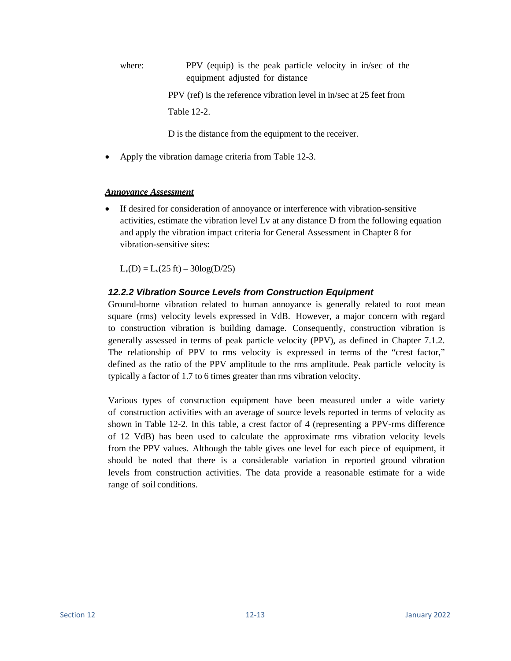where: PPV (equip) is the peak particle velocity in in/sec of the equipment adjusted for distance

PPV (ref) is the reference vibration level in in/sec at 25 feet from

Table 12-2.

D is the distance from the equipment to the receiver.

• Apply the vibration damage criteria from Table 12-3.

### *Annoyance Assessment*

• If desired for consideration of annoyance or interference with vibration-sensitive activities, estimate the vibration level Lv at any distance D from the following equation and apply the vibration impact criteria for General Assessment in Chapter 8 for vibration-sensitive sites:

 $L_v(D) = L_v(25 \text{ ft}) - 30\log(D/25)$ 

## *12.2.2 Vibration Source Levels from Construction Equipment*

Ground-borne vibration related to human annoyance is generally related to root mean square (rms) velocity levels expressed in VdB. However, a major concern with regard to construction vibration is building damage. Consequently, construction vibration is generally assessed in terms of peak particle velocity (PPV), as defined in Chapter 7.1.2. The relationship of PPV to rms velocity is expressed in terms of the "crest factor," defined as the ratio of the PPV amplitude to the rms amplitude. Peak particle velocity is typically a factor of 1.7 to 6 times greater than rms vibration velocity.

Various types of construction equipment have been measured under a wide variety of construction activities with an average of source levels reported in terms of velocity as shown in Table 12-2. In this table, a crest factor of 4 (representing a PPV-rms difference of 12 VdB) has been used to calculate the approximate rms vibration velocity levels from the PPV values. Although the table gives one level for each piece of equipment, it should be noted that there is a considerable variation in reported ground vibration levels from construction activities. The data provide a reasonable estimate for a wide range of soil conditions.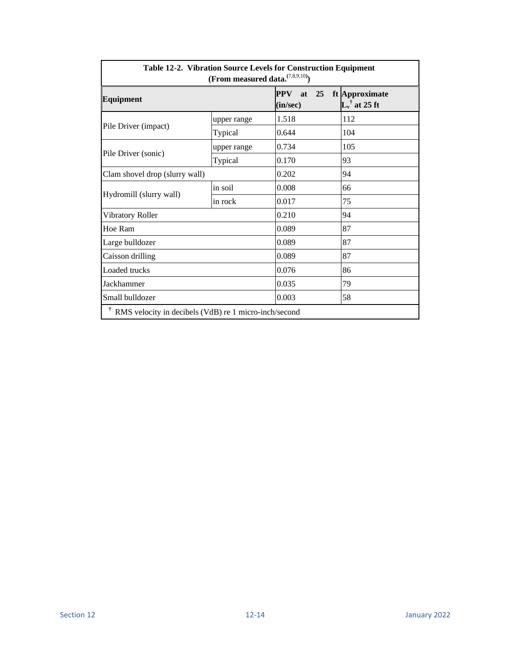| Table 12-2. Vibration Source Levels for Construction Equipment<br>(From measured data. $^{(7,8,9,10)}$ ) |             |                                    |                                            |  |
|----------------------------------------------------------------------------------------------------------|-------------|------------------------------------|--------------------------------------------|--|
| <b>Equipment</b>                                                                                         |             | 25<br><b>PPV</b><br>at<br>(in/sec) | ft Approximate<br>$L_v^{\dagger}$ at 25 ft |  |
| Pile Driver (impact)                                                                                     | upper range | 1.518                              | 112                                        |  |
|                                                                                                          | Typical     | 0.644                              | 104                                        |  |
| Pile Driver (sonic)                                                                                      | upper range | 0.734                              | 105                                        |  |
|                                                                                                          | Typical     | 0.170                              | 93                                         |  |
| Clam shovel drop (slurry wall)                                                                           |             | 0.202                              | 94                                         |  |
|                                                                                                          | in soil     | 0.008                              | 66                                         |  |
| Hydromill (slurry wall)                                                                                  | in rock     | 0.017                              | 75                                         |  |
| Vibratory Roller                                                                                         |             | 0.210                              | 94                                         |  |
| Hoe Ram                                                                                                  |             | 0.089                              | 87                                         |  |
| Large bulldozer                                                                                          |             | 0.089                              | 87                                         |  |
| Caisson drilling                                                                                         |             | 0.089                              | 87                                         |  |
| Loaded trucks                                                                                            |             | 0.076                              | 86                                         |  |
| Jackhammer                                                                                               |             | 0.035                              | 79                                         |  |
| Small bulldozer                                                                                          |             | 0.003                              | 58                                         |  |
| Ť<br>RMS velocity in decibels (VdB) re 1 micro-inch/second                                               |             |                                    |                                            |  |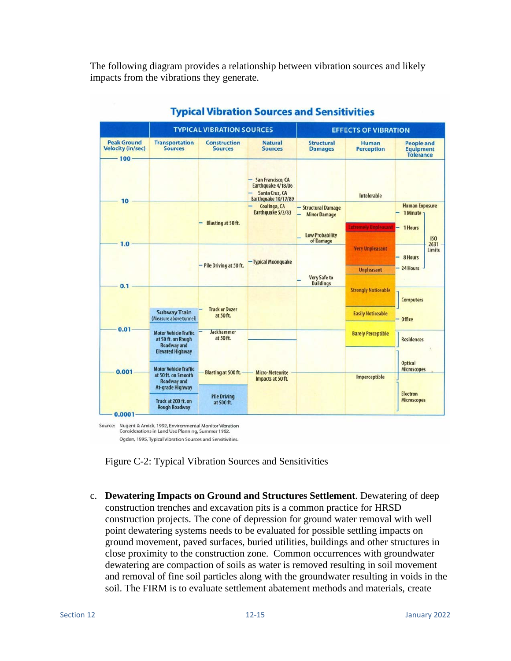The following diagram provides a relationship between vibration sources and likely impacts from the vibrations they generate.

|                                                       |                                                                                       | <b>TYPICAL VIBRATION SOURCES</b>      |                                                                                  |                                                                      | <b>EFFECTS OF VIBRATION</b>                            |                                                           |                |
|-------------------------------------------------------|---------------------------------------------------------------------------------------|---------------------------------------|----------------------------------------------------------------------------------|----------------------------------------------------------------------|--------------------------------------------------------|-----------------------------------------------------------|----------------|
| <b>Peak Ground</b><br><b>Velocity (in/sec)</b><br>100 | <b>Transportation</b><br><b>Sources</b>                                               | <b>Construction</b><br><b>Sources</b> | <b>Natural</b><br><b>Sources</b>                                                 | <b>Structural</b><br><b>Damages</b>                                  | Human<br><b>Perception</b>                             | <b>People and</b><br><b>Equipment</b><br><b>Tolerance</b> |                |
| 10                                                    |                                                                                       |                                       | San Francisco, CA<br>Earthquake 4/18/06<br>Santa Cruz, CA<br>Earthquake 10/17/89 |                                                                      | Intolerable                                            |                                                           |                |
|                                                       |                                                                                       | <b>Blasting at 50 ft.</b>             | Coalinga, CA<br>Earthquake 5/2/83                                                | - Structural Damage<br><b>Minor Damage</b><br><b>Low Probability</b> | <b>Extremely Unpleasant</b>                            | <b>Human Exposure</b><br>1 Minute -<br>1 Hours            | <b>ISO</b>     |
| 1.0                                                   |                                                                                       |                                       | - Typical Moonguake                                                              | of Damage                                                            | <b>Very Unpleasant</b>                                 | 8 Hours                                                   | 2631<br>Limits |
| 0.1                                                   |                                                                                       | - Pile Driving at 50 ft.              |                                                                                  | <b>Very Safe to</b><br><b>Buildings</b>                              | <b>Unpleasant</b>                                      | - 24 Hours                                                |                |
|                                                       | <b>Subway Train</b><br>(Measure above tunnel)                                         | <b>Truck or Dozer</b><br>at 50 ft.    |                                                                                  |                                                                      | <b>Strongly Noticeable</b><br><b>Easily Noticeable</b> | <b>Computers</b><br><b>Office</b>                         |                |
| 0.01                                                  | <b>Motor Vehicle Traffic</b><br>at 50 ft. on Rough<br><b>Roadway and</b>              | <b>Jackhammer</b><br>at 50 ft.        |                                                                                  |                                                                      | <b>Barely Perceptible</b>                              | <b>Residences</b>                                         |                |
| 0.001                                                 | <b>Elevated Highway</b><br><b>Motor Vehicle Traffic</b><br>at 50 ft. on Smooth        | <b>Blasting at 500 ft.</b>            | <b>Micro-Meteorite</b><br>Impacts at 50 ft.                                      |                                                                      | Imperceptible                                          | <b>Optical</b><br><b>Microscopes</b>                      |                |
| 0.0001                                                | <b>Roadway and</b><br>At-grade Highway<br>Truck at 200 ft. on<br><b>Rough Roadway</b> | <b>Pile Driving</b><br>at 500 ft.     |                                                                                  |                                                                      |                                                        | <b>Electron</b><br><b>Microscopes</b>                     |                |

## **Typical Vibration Sources and Sensitivities**

Figure C-2: Typical Vibration Sources and Sensitivities

c. **Dewatering Impacts on Ground and Structures Settlement**. Dewatering of deep construction trenches and excavation pits is a common practice for HRSD construction projects. The cone of depression for ground water removal with well point dewatering systems needs to be evaluated for possible settling impacts on ground movement, paved surfaces, buried utilities, buildings and other structures in close proximity to the construction zone. Common occurrences with groundwater dewatering are compaction of soils as water is removed resulting in soil movement and removal of fine soil particles along with the groundwater resulting in voids in the soil. The FIRM is to evaluate settlement abatement methods and materials, create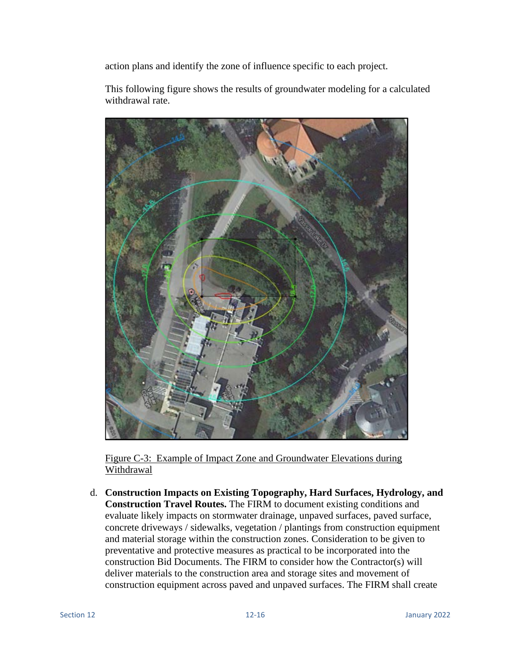action plans and identify the zone of influence specific to each project.

This following figure shows the results of groundwater modeling for a calculated withdrawal rate.



Figure C-3: Example of Impact Zone and Groundwater Elevations during Withdrawal

d. **Construction Impacts on Existing Topography, Hard Surfaces, Hydrology, and Construction Travel Routes.** The FIRM to document existing conditions and evaluate likely impacts on stormwater drainage, unpaved surfaces, paved surface, concrete driveways / sidewalks, vegetation / plantings from construction equipment and material storage within the construction zones. Consideration to be given to preventative and protective measures as practical to be incorporated into the construction Bid Documents. The FIRM to consider how the Contractor(s) will deliver materials to the construction area and storage sites and movement of construction equipment across paved and unpaved surfaces. The FIRM shall create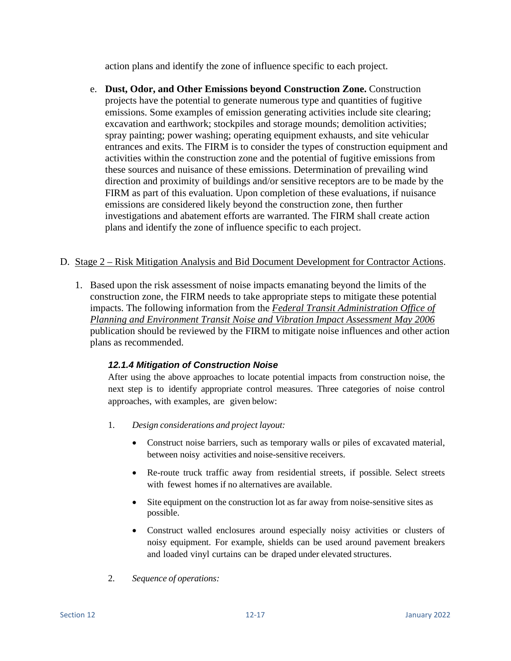action plans and identify the zone of influence specific to each project.

e. **Dust, Odor, and Other Emissions beyond Construction Zone.** Construction projects have the potential to generate numerous type and quantities of fugitive emissions. Some examples of emission generating activities include site clearing; excavation and earthwork; stockpiles and storage mounds; demolition activities; spray painting; power washing; operating equipment exhausts, and site vehicular entrances and exits. The FIRM is to consider the types of construction equipment and activities within the construction zone and the potential of fugitive emissions from these sources and nuisance of these emissions. Determination of prevailing wind direction and proximity of buildings and/or sensitive receptors are to be made by the FIRM as part of this evaluation. Upon completion of these evaluations, if nuisance emissions are considered likely beyond the construction zone, then further investigations and abatement efforts are warranted. The FIRM shall create action plans and identify the zone of influence specific to each project.

## D. Stage 2 – Risk Mitigation Analysis and Bid Document Development for Contractor Actions.

1. Based upon the risk assessment of noise impacts emanating beyond the limits of the construction zone, the FIRM needs to take appropriate steps to mitigate these potential impacts. The following information from the *Federal Transit Administration Office of Planning and Environment Transit Noise and Vibration Impact Assessment May 2006* publication should be reviewed by the FIRM to mitigate noise influences and other action plans as recommended.

## *12.1.4 Mitigation of Construction Noise*

After using the above approaches to locate potential impacts from construction noise, the next step is to identify appropriate control measures. Three categories of noise control approaches, with examples, are given below:

- 1. *Design considerations and project layout:*
	- Construct noise barriers, such as temporary walls or piles of excavated material, between noisy activities and noise-sensitive receivers.
	- Re-route truck traffic away from residential streets, if possible. Select streets with fewest homes if no alternatives are available.
	- Site equipment on the construction lot as far away from noise-sensitive sites as possible.
	- Construct walled enclosures around especially noisy activities or clusters of noisy equipment. For example, shields can be used around pavement breakers and loaded vinyl curtains can be draped under elevated structures.
- 2. *Sequence of operations:*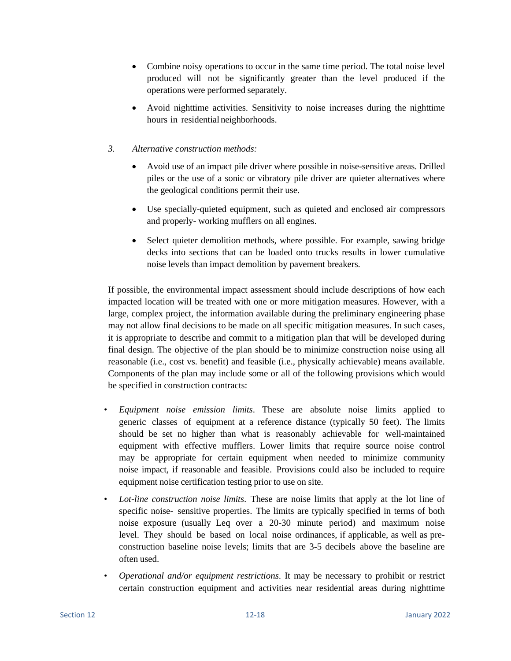- Combine noisy operations to occur in the same time period. The total noise level produced will not be significantly greater than the level produced if the operations were performed separately.
- Avoid nighttime activities. Sensitivity to noise increases during the nighttime hours in residential neighborhoods.

## *3. Alternative construction methods:*

- Avoid use of an impact pile driver where possible in noise-sensitive areas. Drilled piles or the use of a sonic or vibratory pile driver are quieter alternatives where the geological conditions permit their use.
- Use specially-quieted equipment, such as quieted and enclosed air compressors and properly- working mufflers on all engines.
- Select quieter demolition methods, where possible. For example, sawing bridge decks into sections that can be loaded onto trucks results in lower cumulative noise levels than impact demolition by pavement breakers.

If possible, the environmental impact assessment should include descriptions of how each impacted location will be treated with one or more mitigation measures. However, with a large, complex project, the information available during the preliminary engineering phase may not allow final decisions to be made on all specific mitigation measures. In such cases, it is appropriate to describe and commit to a mitigation plan that will be developed during final design. The objective of the plan should be to minimize construction noise using all reasonable (i.e., cost vs. benefit) and feasible (i.e., physically achievable) means available. Components of the plan may include some or all of the following provisions which would be specified in construction contracts:

- *Equipment noise emission limits*. These are absolute noise limits applied to generic classes of equipment at a reference distance (typically 50 feet). The limits should be set no higher than what is reasonably achievable for well-maintained equipment with effective mufflers. Lower limits that require source noise control may be appropriate for certain equipment when needed to minimize community noise impact, if reasonable and feasible. Provisions could also be included to require equipment noise certification testing prior to use on site.
- *Lot-line construction noise limits*. These are noise limits that apply at the lot line of specific noise- sensitive properties. The limits are typically specified in terms of both noise exposure (usually Leq over a 20-30 minute period) and maximum noise level. They should be based on local noise ordinances, if applicable, as well as preconstruction baseline noise levels; limits that are 3-5 decibels above the baseline are often used.
- *Operational and/or equipment restrictions*. It may be necessary to prohibit or restrict certain construction equipment and activities near residential areas during nighttime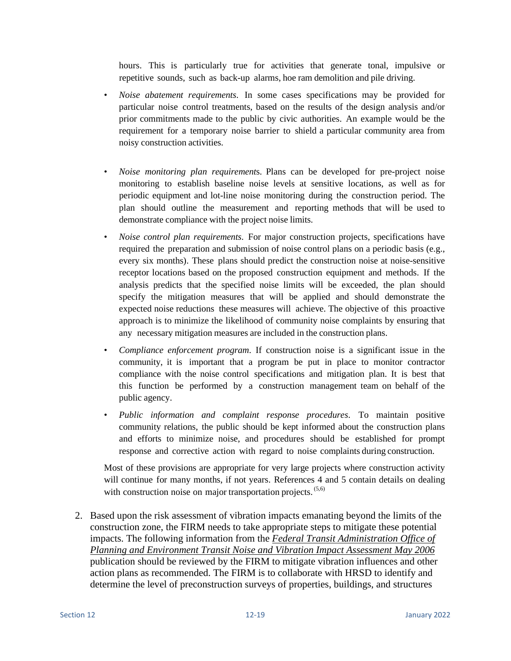hours. This is particularly true for activities that generate tonal, impulsive or repetitive sounds, such as back-up alarms, hoe ram demolition and pile driving.

- *Noise abatement requirements*. In some cases specifications may be provided for particular noise control treatments, based on the results of the design analysis and/or prior commitments made to the public by civic authorities. An example would be the requirement for a temporary noise barrier to shield a particular community area from noisy construction activities.
- *Noise monitoring plan requirement*s. Plans can be developed for pre-project noise monitoring to establish baseline noise levels at sensitive locations, as well as for periodic equipment and lot-line noise monitoring during the construction period. The plan should outline the measurement and reporting methods that will be used to demonstrate compliance with the project noise limits.
- *Noise control plan requirements*. For major construction projects, specifications have required the preparation and submission of noise control plans on a periodic basis (e.g., every six months). These plans should predict the construction noise at noise-sensitive receptor locations based on the proposed construction equipment and methods. If the analysis predicts that the specified noise limits will be exceeded, the plan should specify the mitigation measures that will be applied and should demonstrate the expected noise reductions these measures will achieve. The objective of this proactive approach is to minimize the likelihood of community noise complaints by ensuring that any necessary mitigation measures are included in the construction plans.
- *Compliance enforcement program*. If construction noise is a significant issue in the community, it is important that a program be put in place to monitor contractor compliance with the noise control specifications and mitigation plan. It is best that this function be performed by a construction management team on behalf of the public agency.
- *Public information and complaint response procedures*. To maintain positive community relations, the public should be kept informed about the construction plans and efforts to minimize noise, and procedures should be established for prompt response and corrective action with regard to noise complaints during construction.

Most of these provisions are appropriate for very large projects where construction activity will continue for many months, if not years. References 4 and 5 contain details on dealing with construction noise on major transportation projects.<sup>(5,6)</sup>

2. Based upon the risk assessment of vibration impacts emanating beyond the limits of the construction zone, the FIRM needs to take appropriate steps to mitigate these potential impacts. The following information from the *Federal Transit Administration Office of Planning and Environment Transit Noise and Vibration Impact Assessment May 2006* publication should be reviewed by the FIRM to mitigate vibration influences and other action plans as recommended. The FIRM is to collaborate with HRSD to identify and determine the level of preconstruction surveys of properties, buildings, and structures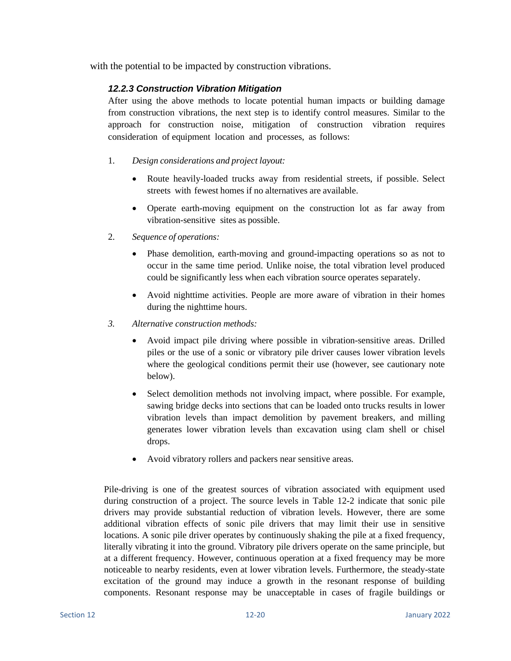with the potential to be impacted by construction vibrations.

## *12.2.3 Construction Vibration Mitigation*

After using the above methods to locate potential human impacts or building damage from construction vibrations, the next step is to identify control measures. Similar to the approach for construction noise, mitigation of construction vibration requires consideration of equipment location and processes, as follows:

### 1. *Design considerations and project layout:*

- Route heavily-loaded trucks away from residential streets, if possible. Select streets with fewest homes if no alternatives are available.
- Operate earth-moving equipment on the construction lot as far away from vibration-sensitive sites as possible.
- 2. *Sequence of operations:*
	- Phase demolition, earth-moving and ground-impacting operations so as not to occur in the same time period. Unlike noise, the total vibration level produced could be significantly less when each vibration source operates separately.
	- Avoid nighttime activities. People are more aware of vibration in their homes during the nighttime hours.
- *3. Alternative construction methods:*
	- Avoid impact pile driving where possible in vibration-sensitive areas. Drilled piles or the use of a sonic or vibratory pile driver causes lower vibration levels where the geological conditions permit their use (however, see cautionary note below).
	- Select demolition methods not involving impact, where possible. For example, sawing bridge decks into sections that can be loaded onto trucks results in lower vibration levels than impact demolition by pavement breakers, and milling generates lower vibration levels than excavation using clam shell or chisel drops.
	- Avoid vibratory rollers and packers near sensitive areas.

Pile-driving is one of the greatest sources of vibration associated with equipment used during construction of a project. The source levels in Table 12-2 indicate that sonic pile drivers may provide substantial reduction of vibration levels. However, there are some additional vibration effects of sonic pile drivers that may limit their use in sensitive locations. A sonic pile driver operates by continuously shaking the pile at a fixed frequency, literally vibrating it into the ground. Vibratory pile drivers operate on the same principle, but at a different frequency. However, continuous operation at a fixed frequency may be more noticeable to nearby residents, even at lower vibration levels. Furthermore, the steady-state excitation of the ground may induce a growth in the resonant response of building components. Resonant response may be unacceptable in cases of fragile buildings or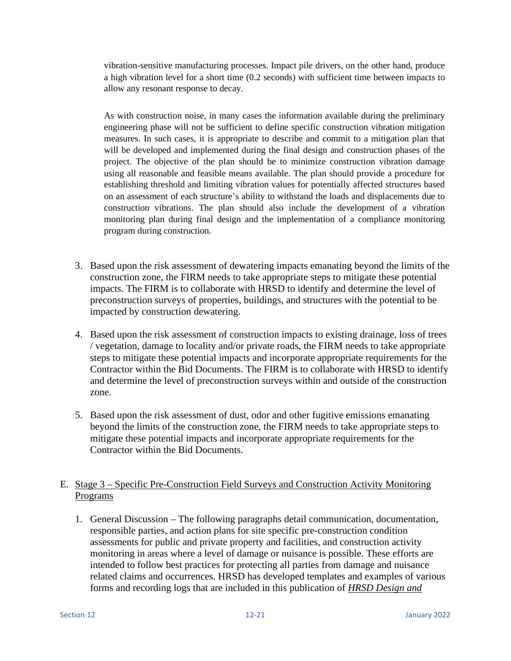vibration-sensitive manufacturing processes. Impact pile drivers, on the other hand, produce a high vibration level for a short time (0.2 seconds) with sufficient time between impacts to allow any resonant response to decay.

As with construction noise, in many cases the information available during the preliminary engineering phase will not be sufficient to define specific construction vibration mitigation measures. In such cases, it is appropriate to describe and commit to a mitigation plan that will be developed and implemented during the final design and construction phases of the project. The objective of the plan should be to minimize construction vibration damage using all reasonable and feasible means available. The plan should provide a procedure for establishing threshold and limiting vibration values for potentially affected structures based on an assessment of each structure's ability to withstand the loads and displacements due to construction vibrations. The plan should also include the development of a vibration monitoring plan during final design and the implementation of a compliance monitoring program during construction.

- 3. Based upon the risk assessment of dewatering impacts emanating beyond the limits of the construction zone, the FIRM needs to take appropriate steps to mitigate these potential impacts. The FIRM is to collaborate with HRSD to identify and determine the level of preconstruction surveys of properties, buildings, and structures with the potential to be impacted by construction dewatering.
- 4. Based upon the risk assessment of construction impacts to existing drainage, loss of trees / vegetation, damage to locality and/or private roads, the FIRM needs to take appropriate steps to mitigate these potential impacts and incorporate appropriate requirements for the Contractor within the Bid Documents. The FIRM is to collaborate with HRSD to identify and determine the level of preconstruction surveys within and outside of the construction zone.
- 5. Based upon the risk assessment of dust, odor and other fugitive emissions emanating beyond the limits of the construction zone, the FIRM needs to take appropriate steps to mitigate these potential impacts and incorporate appropriate requirements for the Contractor within the Bid Documents.

# E. Stage 3 – Specific Pre-Construction Field Surveys and Construction Activity Monitoring Programs

1. General Discussion – The following paragraphs detail communication, documentation, responsible parties, and action plans for site specific pre-construction condition assessments for public and private property and facilities, and construction activity monitoring in areas where a level of damage or nuisance is possible. These efforts are intended to follow best practices for protecting all parties from damage and nuisance related claims and occurrences. HRSD has developed templates and examples of various forms and recording logs that are included in this publication of *HRSD Design and*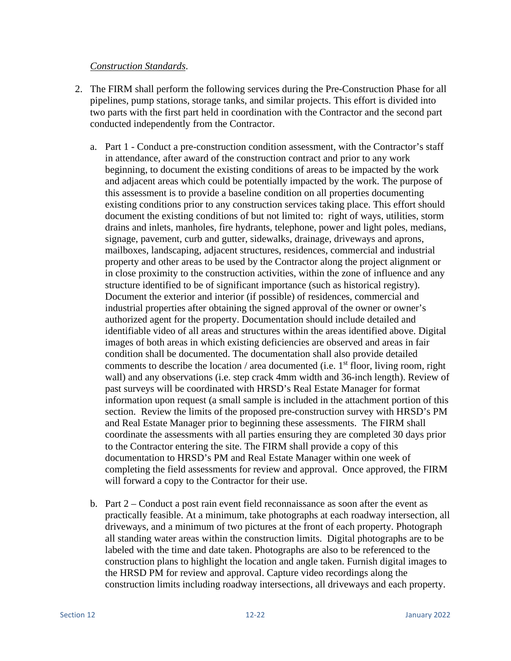## *Construction Standards*.

- 2. The FIRM shall perform the following services during the Pre-Construction Phase for all pipelines, pump stations, storage tanks, and similar projects. This effort is divided into two parts with the first part held in coordination with the Contractor and the second part conducted independently from the Contractor.
	- a. Part 1 Conduct a pre-construction condition assessment, with the Contractor's staff in attendance, after award of the construction contract and prior to any work beginning, to document the existing conditions of areas to be impacted by the work and adjacent areas which could be potentially impacted by the work. The purpose of this assessment is to provide a baseline condition on all properties documenting existing conditions prior to any construction services taking place. This effort should document the existing conditions of but not limited to: right of ways, utilities, storm drains and inlets, manholes, fire hydrants, telephone, power and light poles, medians, signage, pavement, curb and gutter, sidewalks, drainage, driveways and aprons, mailboxes, landscaping, adjacent structures, residences, commercial and industrial property and other areas to be used by the Contractor along the project alignment or in close proximity to the construction activities, within the zone of influence and any structure identified to be of significant importance (such as historical registry). Document the exterior and interior (if possible) of residences, commercial and industrial properties after obtaining the signed approval of the owner or owner's authorized agent for the property. Documentation should include detailed and identifiable video of all areas and structures within the areas identified above. Digital images of both areas in which existing deficiencies are observed and areas in fair condition shall be documented. The documentation shall also provide detailed comments to describe the location / area documented (i.e.  $1<sup>st</sup>$  floor, living room, right wall) and any observations (i.e. step crack 4mm width and 36-inch length). Review of past surveys will be coordinated with HRSD's Real Estate Manager for format information upon request (a small sample is included in the attachment portion of this section. Review the limits of the proposed pre-construction survey with HRSD's PM and Real Estate Manager prior to beginning these assessments. The FIRM shall coordinate the assessments with all parties ensuring they are completed 30 days prior to the Contractor entering the site. The FIRM shall provide a copy of this documentation to HRSD's PM and Real Estate Manager within one week of completing the field assessments for review and approval. Once approved, the FIRM will forward a copy to the Contractor for their use.
	- b. Part 2 Conduct a post rain event field reconnaissance as soon after the event as practically feasible. At a minimum, take photographs at each roadway intersection, all driveways, and a minimum of two pictures at the front of each property. Photograph all standing water areas within the construction limits. Digital photographs are to be labeled with the time and date taken. Photographs are also to be referenced to the construction plans to highlight the location and angle taken. Furnish digital images to the HRSD PM for review and approval. Capture video recordings along the construction limits including roadway intersections, all driveways and each property.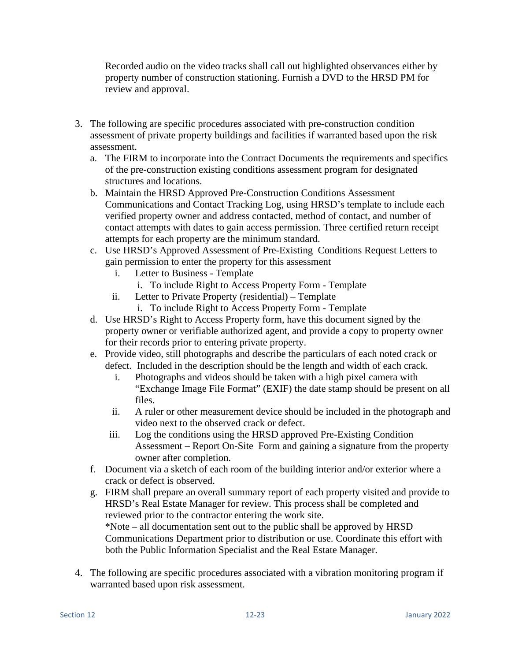Recorded audio on the video tracks shall call out highlighted observances either by property number of construction stationing. Furnish a DVD to the HRSD PM for review and approval.

- 3. The following are specific procedures associated with pre-construction condition assessment of private property buildings and facilities if warranted based upon the risk assessment.
	- a. The FIRM to incorporate into the Contract Documents the requirements and specifics of the pre-construction existing conditions assessment program for designated structures and locations.
	- b. Maintain the HRSD Approved Pre-Construction Conditions Assessment Communications and Contact Tracking Log, using HRSD's template to include each verified property owner and address contacted, method of contact, and number of contact attempts with dates to gain access permission. Three certified return receipt attempts for each property are the minimum standard.
	- c. Use HRSD's Approved Assessment of Pre-Existing Conditions Request Letters to gain permission to enter the property for this assessment
		- i. Letter to Business Template
			- i. To include Right to Access Property Form Template
		- ii. Letter to Private Property (residential) Template
			- i. To include Right to Access Property Form Template
	- d. Use HRSD's Right to Access Property form, have this document signed by the property owner or verifiable authorized agent, and provide a copy to property owner for their records prior to entering private property.
	- e. Provide video, still photographs and describe the particulars of each noted crack or defect. Included in the description should be the length and width of each crack.
		- i. Photographs and videos should be taken with a high pixel camera with "Exchange Image File Format" (EXIF) the date stamp should be present on all files.
		- ii. A ruler or other measurement device should be included in the photograph and video next to the observed crack or defect.
		- iii. Log the conditions using the HRSD approved Pre-Existing Condition Assessment – Report On-Site Form and gaining a signature from the property owner after completion.
	- f. Document via a sketch of each room of the building interior and/or exterior where a crack or defect is observed.
	- g. FIRM shall prepare an overall summary report of each property visited and provide to HRSD's Real Estate Manager for review. This process shall be completed and reviewed prior to the contractor entering the work site. \*Note – all documentation sent out to the public shall be approved by HRSD Communications Department prior to distribution or use. Coordinate this effort with both the Public Information Specialist and the Real Estate Manager.
- 4. The following are specific procedures associated with a vibration monitoring program if warranted based upon risk assessment.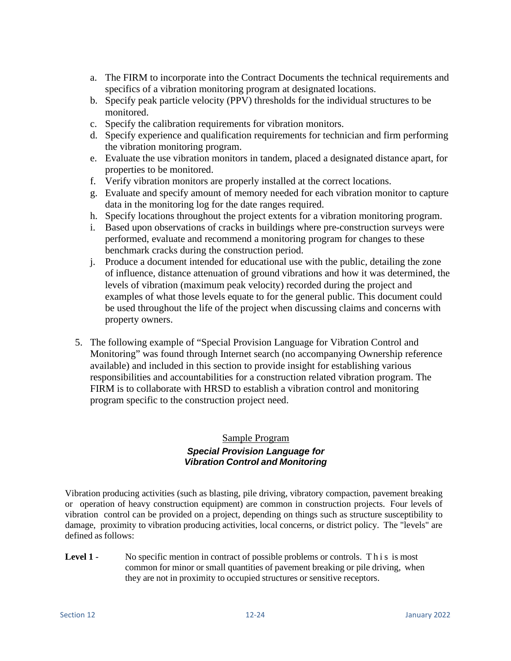- a. The FIRM to incorporate into the Contract Documents the technical requirements and specifics of a vibration monitoring program at designated locations.
- b. Specify peak particle velocity (PPV) thresholds for the individual structures to be monitored.
- c. Specify the calibration requirements for vibration monitors.
- d. Specify experience and qualification requirements for technician and firm performing the vibration monitoring program.
- e. Evaluate the use vibration monitors in tandem, placed a designated distance apart, for properties to be monitored.
- f. Verify vibration monitors are properly installed at the correct locations.
- g. Evaluate and specify amount of memory needed for each vibration monitor to capture data in the monitoring log for the date ranges required.
- h. Specify locations throughout the project extents for a vibration monitoring program.
- i. Based upon observations of cracks in buildings where pre-construction surveys were performed, evaluate and recommend a monitoring program for changes to these benchmark cracks during the construction period.
- j. Produce a document intended for educational use with the public, detailing the zone of influence, distance attenuation of ground vibrations and how it was determined, the levels of vibration (maximum peak velocity) recorded during the project and examples of what those levels equate to for the general public. This document could be used throughout the life of the project when discussing claims and concerns with property owners.
- 5. The following example of "Special Provision Language for Vibration Control and Monitoring" was found through Internet search (no accompanying Ownership reference available) and included in this section to provide insight for establishing various responsibilities and accountabilities for a construction related vibration program. The FIRM is to collaborate with HRSD to establish a vibration control and monitoring program specific to the construction project need.

## Sample Program *Special Provision Language for Vibration Control and Monitoring*

Vibration producing activities (such as blasting, pile driving, vibratory compaction, pavement breaking or operation of heavy construction equipment) are common in construction projects. Four levels of vibration control can be provided on a project, depending on things such as structure susceptibility to damage, proximity to vibration producing activities, local concerns, or district policy. The "levels" are defined as follows:

**Level 1** - No specific mention in contract of possible problems or controls. This is most common for minor or small quantities of pavement breaking or pile driving, when they are not in proximity to occupied structures or sensitive receptors.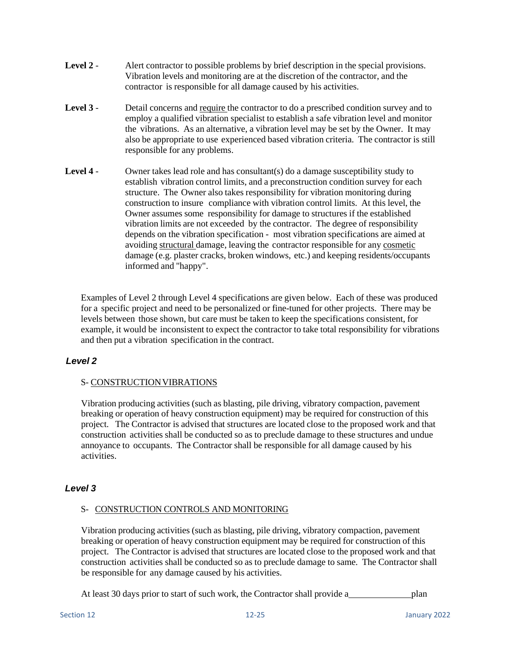- **Level 2** Alert contractor to possible problems by brief description in the special provisions. Vibration levels and monitoring are at the discretion of the contractor, and the contractor is responsible for all damage caused by his activities.
- **Level 3** Detail concerns and require the contractor to do a prescribed condition survey and to employ a qualified vibration specialist to establish a safe vibration level and monitor the vibrations. As an alternative, a vibration level may be set by the Owner. It may also be appropriate to use experienced based vibration criteria. The contractor is still responsible for any problems.
- **Level 4** Owner takes lead role and has consultant(s) do a damage susceptibility study to establish vibration control limits, and a preconstruction condition survey for each structure. The Owner also takes responsibility for vibration monitoring during construction to insure compliance with vibration control limits. At this level, the Owner assumes some responsibility for damage to structures if the established vibration limits are not exceeded by the contractor. The degree of responsibility depends on the vibration specification - most vibration specifications are aimed at avoiding structural damage, leaving the contractor responsible for any cosmetic damage (e.g. plaster cracks, broken windows, etc.) and keeping residents/occupants informed and "happy".

Examples of Level 2 through Level 4 specifications are given below. Each of these was produced for a specific project and need to be personalized or fine-tuned for other projects. There may be levels between those shown, but care must be taken to keep the specifications consistent, for example, it would be inconsistent to expect the contractor to take total responsibility for vibrations and then put a vibration specification in the contract.

## *Level 2*

### S- CONSTRUCTIONVIBRATIONS

Vibration producing activities (such as blasting, pile driving, vibratory compaction, pavement breaking or operation of heavy construction equipment) may be required for construction of this project. The Contractor is advised that structures are located close to the proposed work and that construction activities shall be conducted so as to preclude damage to these structures and undue annoyance to occupants. The Contractor shall be responsible for all damage caused by his activities.

## *Level 3*

### S- CONSTRUCTION CONTROLS AND MONITORING

Vibration producing activities (such as blasting, pile driving, vibratory compaction, pavement breaking or operation of heavy construction equipment may be required for construction of this project. The Contractor is advised that structures are located close to the proposed work and that construction activities shall be conducted so as to preclude damage to same. The Contractor shall be responsible for any damage caused by his activities.

At least 30 days prior to start of such work, the Contractor shall provide a plan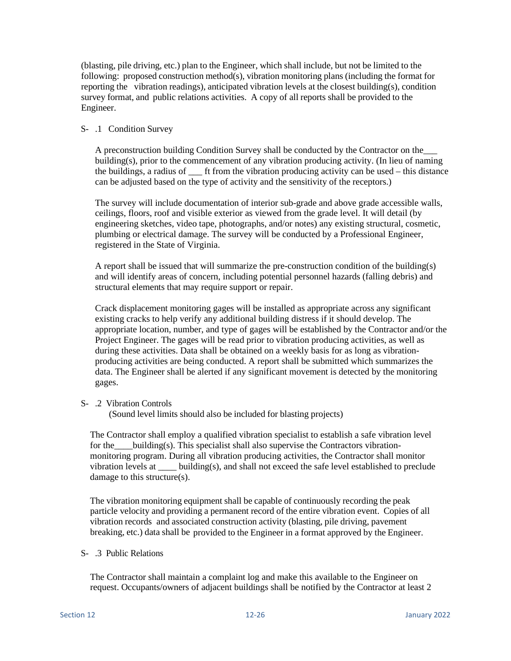(blasting, pile driving, etc.) plan to the Engineer, which shall include, but not be limited to the following: proposed construction method(s), vibration monitoring plans (including the format for reporting the vibration readings), anticipated vibration levels at the closest building(s), condition survey format, and public relations activities. A copy of all reports shall be provided to the Engineer.

### S- .1 Condition Survey

A preconstruction building Condition Survey shall be conducted by the Contractor on the\_\_\_ building(s), prior to the commencement of any vibration producing activity. (In lieu of naming the buildings, a radius of ft from the vibration producing activity can be used – this distance can be adjusted based on the type of activity and the sensitivity of the receptors.)

The survey will include documentation of interior sub-grade and above grade accessible walls, ceilings, floors, roof and visible exterior as viewed from the grade level. It will detail (by engineering sketches, video tape, photographs, and/or notes) any existing structural, cosmetic, plumbing or electrical damage. The survey will be conducted by a Professional Engineer, registered in the State of Virginia.

A report shall be issued that will summarize the pre-construction condition of the building(s) and will identify areas of concern, including potential personnel hazards (falling debris) and structural elements that may require support or repair.

Crack displacement monitoring gages will be installed as appropriate across any significant existing cracks to help verify any additional building distress if it should develop. The appropriate location, number, and type of gages will be established by the Contractor and/or the Project Engineer. The gages will be read prior to vibration producing activities, as well as during these activities. Data shall be obtained on a weekly basis for as long as vibrationproducing activities are being conducted. A report shall be submitted which summarizes the data. The Engineer shall be alerted if any significant movement is detected by the monitoring gages.

### S- .2 Vibration Controls

(Sound level limits should also be included for blasting projects)

The Contractor shall employ a qualified vibration specialist to establish a safe vibration level for the building(s). This specialist shall also supervise the Contractors vibrationmonitoring program. During all vibration producing activities, the Contractor shall monitor vibration levels at \_\_\_\_ building(s), and shall not exceed the safe level established to preclude damage to this structure(s).

The vibration monitoring equipment shall be capable of continuously recording the peak particle velocity and providing a permanent record of the entire vibration event. Copies of all vibration records and associated construction activity (blasting, pile driving, pavement breaking, etc.) data shall be provided to the Engineer in a format approved by the Engineer.

### S- .3 Public Relations

The Contractor shall maintain a complaint log and make this available to the Engineer on request. Occupants/owners of adjacent buildings shall be notified by the Contractor at least 2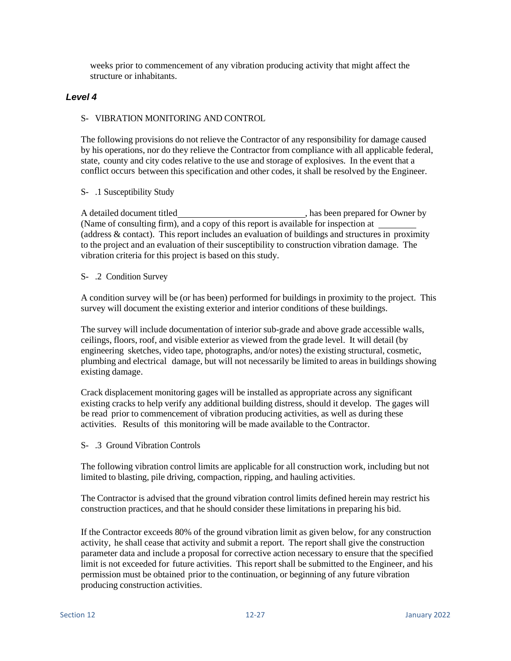weeks prior to commencement of any vibration producing activity that might affect the structure or inhabitants.

### *Level 4*

#### S- VIBRATION MONITORING AND CONTROL

The following provisions do not relieve the Contractor of any responsibility for damage caused by his operations, nor do they relieve the Contractor from compliance with all applicable federal, state, county and city codes relative to the use and storage of explosives. In the event that a conflict occurs between this specification and other codes, it shall be resolved by the Engineer.

#### S- .1 Susceptibility Study

A detailed document titled , has been prepared for Owner by (Name of consulting firm), and a copy of this report is available for inspection at (address & contact). This report includes an evaluation of buildings and structures in proximity to the project and an evaluation of their susceptibility to construction vibration damage. The vibration criteria for this project is based on this study.

#### S- .2 Condition Survey

A condition survey will be (or has been) performed for buildings in proximity to the project. This survey will document the existing exterior and interior conditions of these buildings.

The survey will include documentation of interior sub-grade and above grade accessible walls, ceilings, floors, roof, and visible exterior as viewed from the grade level. It will detail (by engineering sketches, video tape, photographs, and/or notes) the existing structural, cosmetic, plumbing and electrical damage, but will not necessarily be limited to areas in buildings showing existing damage.

Crack displacement monitoring gages will be installed as appropriate across any significant existing cracks to help verify any additional building distress, should it develop. The gages will be read prior to commencement of vibration producing activities, as well as during these activities. Results of this monitoring will be made available to the Contractor.

S- .3 Ground Vibration Controls

The following vibration control limits are applicable for all construction work, including but not limited to blasting, pile driving, compaction, ripping, and hauling activities.

The Contractor is advised that the ground vibration control limits defined herein may restrict his construction practices, and that he should consider these limitations in preparing his bid.

If the Contractor exceeds 80% of the ground vibration limit as given below, for any construction activity, he shall cease that activity and submit a report. The report shall give the construction parameter data and include a proposal for corrective action necessary to ensure that the specified limit is not exceeded for future activities. This report shall be submitted to the Engineer, and his permission must be obtained prior to the continuation, or beginning of any future vibration producing construction activities.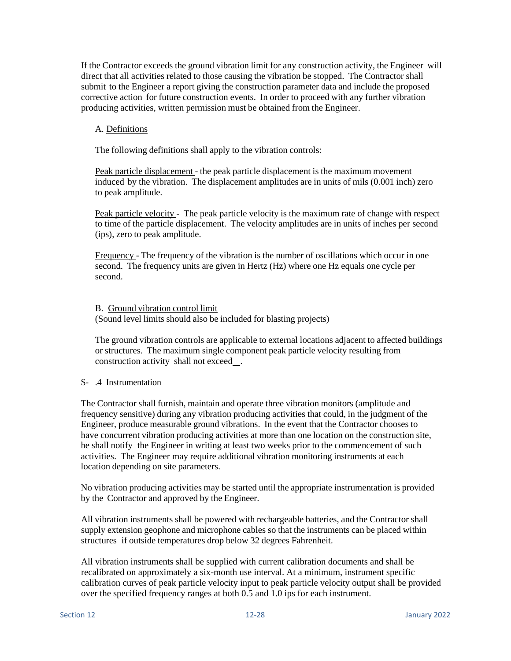If the Contractor exceeds the ground vibration limit for any construction activity, the Engineer will direct that all activities related to those causing the vibration be stopped. The Contractor shall submit to the Engineer a report giving the construction parameter data and include the proposed corrective action for future construction events. In order to proceed with any further vibration producing activities, written permission must be obtained from the Engineer.

#### A. Definitions

The following definitions shall apply to the vibration controls:

Peak particle displacement - the peak particle displacement is the maximum movement induced by the vibration. The displacement amplitudes are in units of mils (0.001 inch) zero to peak amplitude.

Peak particle velocity - The peak particle velocity is the maximum rate of change with respect to time of the particle displacement. The velocity amplitudes are in units of inches per second (ips), zero to peak amplitude.

Frequency - The frequency of the vibration is the number of oscillations which occur in one second. The frequency units are given in Hertz (Hz) where one Hz equals one cycle per second.

B. Ground vibration control limit (Sound level limits should also be included for blasting projects)

The ground vibration controls are applicable to external locations adjacent to affected buildings or structures. The maximum single component peak particle velocity resulting from construction activity shall not exceed .

#### S- .4 Instrumentation

The Contractor shall furnish, maintain and operate three vibration monitors (amplitude and frequency sensitive) during any vibration producing activities that could, in the judgment of the Engineer, produce measurable ground vibrations. In the event that the Contractor chooses to have concurrent vibration producing activities at more than one location on the construction site, he shall notify the Engineer in writing at least two weeks prior to the commencement of such activities. The Engineer may require additional vibration monitoring instruments at each location depending on site parameters.

No vibration producing activities may be started until the appropriate instrumentation is provided by the Contractor and approved by the Engineer.

All vibration instruments shall be powered with rechargeable batteries, and the Contractor shall supply extension geophone and microphone cables so that the instruments can be placed within structures if outside temperatures drop below 32 degrees Fahrenheit.

All vibration instruments shall be supplied with current calibration documents and shall be recalibrated on approximately a six-month use interval. At a minimum, instrument specific calibration curves of peak particle velocity input to peak particle velocity output shall be provided over the specified frequency ranges at both 0.5 and 1.0 ips for each instrument.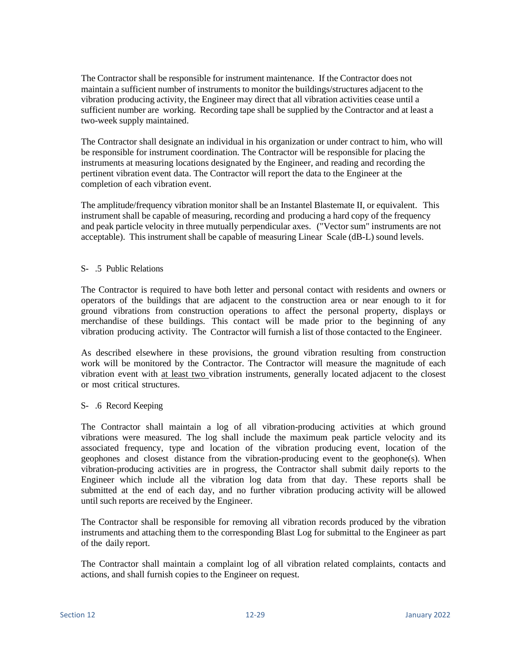The Contractor shall be responsible for instrument maintenance. If the Contractor does not maintain a sufficient number of instruments to monitor the buildings/structures adjacent to the vibration producing activity, the Engineer may direct that all vibration activities cease until a sufficient number are working. Recording tape shall be supplied by the Contractor and at least a two-week supply maintained.

The Contractor shall designate an individual in his organization or under contract to him, who will be responsible for instrument coordination. The Contractor will be responsible for placing the instruments at measuring locations designated by the Engineer, and reading and recording the pertinent vibration event data. The Contractor will report the data to the Engineer at the completion of each vibration event.

The amplitude/frequency vibration monitor shall be an Instantel Blastemate II, or equivalent. This instrument shall be capable of measuring, recording and producing a hard copy of the frequency and peak particle velocity in three mutually perpendicular axes. ("Vector sum" instruments are not acceptable). This instrument shall be capable of measuring Linear Scale (dB-L) sound levels.

### S- .5 Public Relations

The Contractor is required to have both letter and personal contact with residents and owners or operators of the buildings that are adjacent to the construction area or near enough to it for ground vibrations from construction operations to affect the personal property, displays or merchandise of these buildings. This contact will be made prior to the beginning of any vibration producing activity. The Contractor will furnish a list of those contacted to the Engineer.

As described elsewhere in these provisions, the ground vibration resulting from construction work will be monitored by the Contractor. The Contractor will measure the magnitude of each vibration event with at least two vibration instruments, generally located adjacent to the closest or most critical structures.

#### S- .6 Record Keeping

The Contractor shall maintain a log of all vibration-producing activities at which ground vibrations were measured. The log shall include the maximum peak particle velocity and its associated frequency, type and location of the vibration producing event, location of the geophones and closest distance from the vibration-producing event to the geophone(s). When vibration-producing activities are in progress, the Contractor shall submit daily reports to the Engineer which include all the vibration log data from that day. These reports shall be submitted at the end of each day, and no further vibration producing activity will be allowed until such reports are received by the Engineer.

The Contractor shall be responsible for removing all vibration records produced by the vibration instruments and attaching them to the corresponding Blast Log for submittal to the Engineer as part of the daily report.

The Contractor shall maintain a complaint log of all vibration related complaints, contacts and actions, and shall furnish copies to the Engineer on request.